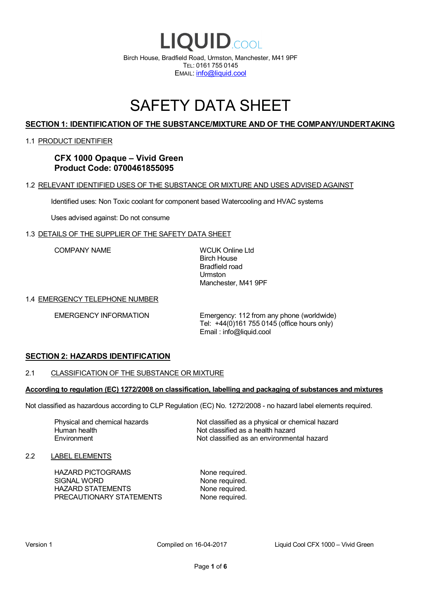

# SAFETY DATA SHEET

# **SECTION 1: IDENTIFICATION OF THE SUBSTANCE/MIXTURE AND OF THE COMPANY/UNDERTAKING**

### 1.1 PRODUCT IDENTIFIER

# **CFX 1000 Opaque – Vivid Green Product Code: 0700461855095**

### 1.2 RELEVANT IDENTIFIED USES OF THE SUBSTANCE OR MIXTURE AND USES ADVISED AGAINST

Identified uses: Non Toxic coolant for component based Watercooling and HVAC systems

Uses advised against: Do not consume

### 1.3 DETAILS OF THE SUPPLIER OF THE SAFETY DATA SHEET

COMPANY NAME WCUK Online Ltd

Birch House Bradfield road Urmston Manchester, M41 9PF

### 1.4 EMERGENCY TELEPHONE NUMBER

EMERGENCY INFORMATION Emergency: 112 from any phone (worldwide) Tel: +44(0)161 755 0145 (office hours only) Email : info@liquid.cool

### **SECTION 2: HAZARDS IDENTIFICATION**

### 2.1 CLASSIFICATION OF THE SUBSTANCE OR MIXTURE

### **According to regulation (EC) 1272/2008 on classification, labelling and packaging of substances and mixtures**

Not classified as hazardous according to CLP Regulation (EC) No. 1272/2008 - no hazard label elements required.

Human health **Environment** 

Physical and chemical hazards Not classified as a physical or chemical hazard Not classified as a health hazard Not classified as an environmental hazard

### 2.2 LABEL ELEMENTS

HAZARD PICTOGRAMS None required. SIGNAL WORD None required. HAZARD STATEMENTS None required. PRECAUTIONARY STATEMENTS None required.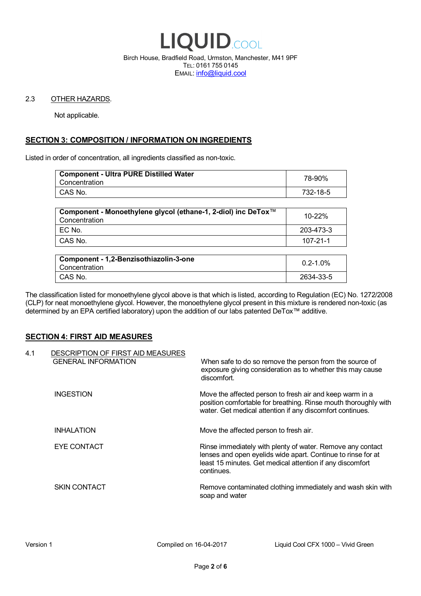

Birch House, Bradfield Road, Urmston, Manchester, M41 9PF TEL: 0161 755 0145 EMAIL: info@liquid.cool

### 2.3 OTHER HAZARDS.

Not applicable.

# **SECTION 3: COMPOSITION / INFORMATION ON INGREDIENTS**

Listed in order of concentration, all ingredients classified as non-toxic.

| <b>Component - Ultra PURE Distilled Water</b><br>Concentration | 78-90%   |
|----------------------------------------------------------------|----------|
| CAS No.                                                        | 732-18-5 |
|                                                                |          |

| Component - Monoethylene glycol (ethane-1, 2-diol) inc DeTox™<br>Concentration | 10-22%    |
|--------------------------------------------------------------------------------|-----------|
| EC No.                                                                         | 203-473-3 |
| CAS No.                                                                        | 107-21-1  |

| Component - 1,2-Benzisothiazolin-3-one<br>Concentration | $0.2 - 1.0\%$ |
|---------------------------------------------------------|---------------|
| CAS No.                                                 | 2634-33-5     |

The classification listed for monoethylene glycol above is that which is listed, according to Regulation (EC) No. 1272/2008 (CLP) for neat monoethylene glycol. However, the monoethylene glycol present in this mixture is rendered non-toxic (as determined by an EPA certified laboratory) upon the addition of our labs patented DeTox™ additive.

### **SECTION 4: FIRST AID MEASURES**

| 4.1 | DESCRIPTION OF FIRST AID MEASURES<br><b>GENERAL INFORMATION</b> | When safe to do so remove the person from the source of<br>exposure giving consideration as to whether this may cause<br>discomfort.                                                                  |
|-----|-----------------------------------------------------------------|-------------------------------------------------------------------------------------------------------------------------------------------------------------------------------------------------------|
|     | <b>INGESTION</b>                                                | Move the affected person to fresh air and keep warm in a<br>position comfortable for breathing. Rinse mouth thoroughly with<br>water. Get medical attention if any discomfort continues.              |
|     | <b>INHALATION</b>                                               | Move the affected person to fresh air.                                                                                                                                                                |
|     | EYE CONTACT                                                     | Rinse immediately with plenty of water. Remove any contact<br>lenses and open eyelids wide apart. Continue to rinse for at<br>least 15 minutes. Get medical attention if any discomfort<br>continues. |
|     | <b>SKIN CONTACT</b>                                             | Remove contaminated clothing immediately and wash skin with<br>soap and water                                                                                                                         |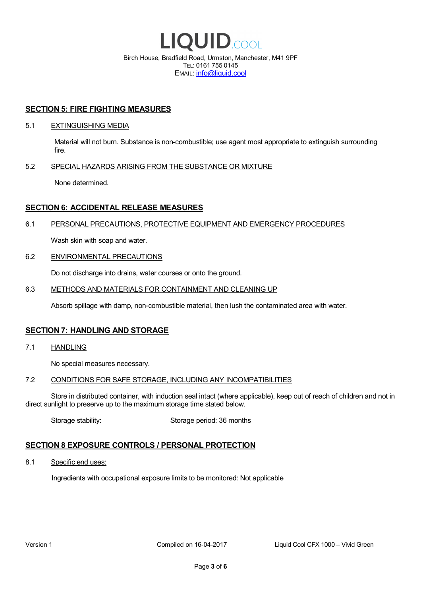

EMAIL: info@liquid.cool

### **SECTION 5: FIRE FIGHTING MEASURES**

### 5.1 EXTINGUISHING MEDIA

Material will not burn. Substance is non-combustible; use agent most appropriate to extinguish surrounding fire.

### 5.2 SPECIAL HAZARDS ARISING FROM THE SUBSTANCE OR MIXTURE

None determined.

### **SECTION 6: ACCIDENTAL RELEASE MEASURES**

### 6.1 PERSONAL PRECAUTIONS, PROTECTIVE EQUIPMENT AND EMERGENCY PROCEDURES

Wash skin with soap and water.

### 6.2 ENVIRONMENTAL PRECAUTIONS

Do not discharge into drains, water courses or onto the ground.

### 6.3 METHODS AND MATERIALS FOR CONTAINMENT AND CLEANING UP

Absorb spillage with damp, non-combustible material, then lush the contaminated area with water.

### **SECTION 7: HANDLING AND STORAGE**

7.1 HANDLING

No special measures necessary.

### 7.2 CONDITIONS FOR SAFE STORAGE, INCLUDING ANY INCOMPATIBILITIES

Store in distributed container, with induction seal intact (where applicable), keep out of reach of children and not in direct sunlight to preserve up to the maximum storage time stated below.

Storage stability: Storage period: 36 months

### **SECTION 8 EXPOSURE CONTROLS / PERSONAL PROTECTION**

8.1 Specific end uses:

Ingredients with occupational exposure limits to be monitored: Not applicable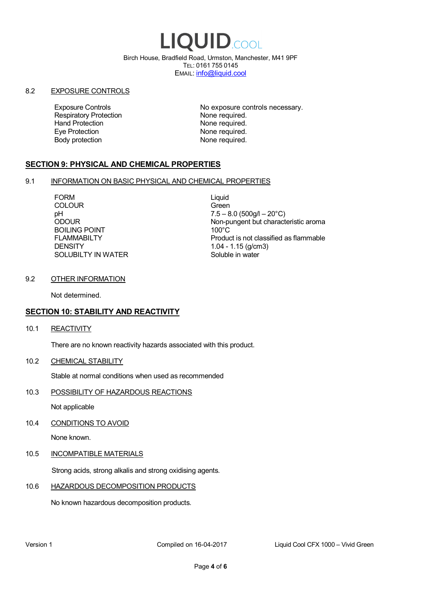# LIQUID.COOL

Birch House, Bradfield Road, Urmston, Manchester, M41 9PF TEL: 0161 755 0145 EMAIL: info@liquid.cool

### 8.2 EXPOSURE CONTROLS

Respiratory Protection **None required.**<br>
Hand Protection **None required.** Eye Protection **None required.** Body protection None required.

Exposure Controls **Exposure Controls** No exposure controls necessary. None required.

# **SECTION 9: PHYSICAL AND CHEMICAL PROPERTIES**

### 9.1 INFORMATION ON BASIC PHYSICAL AND CHEMICAL PROPERTIES

FORM Liquid COLOUR Green BOILING POINT FLAMMABILTY **DENSITY** SOLUBILTY IN WATER

pH<br>
DDOUR
20°C)
2000UR
2000UR
2000UR
2000UR Non-pungent but characteristic aroma 100°C Product is not classified as flammable 1.04 - 1.15 (g/cm3) Soluble in water

### 9.2 OTHER INFORMATION

Not determined.

# **SECTION 10: STABILITY AND REACTIVITY**

10.1 REACTIVITY

There are no known reactivity hazards associated with this product.

10.2 CHEMICAL STABILITY

Stable at normal conditions when used as recommended

10.3 POSSIBILITY OF HAZARDOUS REACTIONS

Not applicable

10.4 CONDITIONS TO AVOID

None known.

### 10.5 INCOMPATIBLE MATERIALS

Strong acids, strong alkalis and strong oxidising agents.

### 10.6 HAZARDOUS DECOMPOSITION PRODUCTS

No known hazardous decomposition products.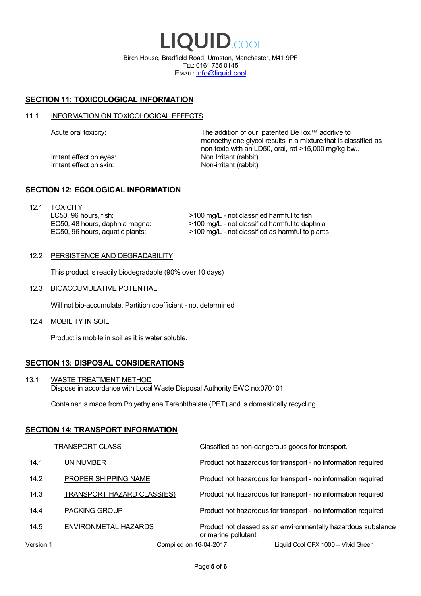LIQUID.COOL Birch House, Bradfield Road, Urmston, Manchester, M41 9PF TEL: 0161 755 0145 EMAIL: info@liquid.cool

# **SECTION 11: TOXICOLOGICAL INFORMATION**

### 11.1 INFORMATION ON TOXICOLOGICAL EFFECTS

Irritant effect on eves: Non Irritant (rabbit) Irritant effect on skin: Non-irritant (rabbit)

Acute oral toxicity: The addition of our patented DeTox™ additive to monoethylene glycol results in a mixture that is classified as non-toxic with an LD50, oral, rat >15,000 mg/kg bw..

### **SECTION 12: ECOLOGICAL INFORMATION**

12.1 TOXICITY LC50, 96 hours, fish: EC50, 48 hours, daphnia magna: EC50, 96 hours, aquatic plants:

>100 mg/L - not classified harmful to fish >100 mg/L - not classified harmful to daphnia >100 mg/L - not classified as harmful to plants

### 12.2 PERSISTENCE AND DEGRADABILITY

This product is readily biodegradable (90% over 10 days)

12.3 BIOACCUMULATIVE POTENTIAL

Will not bio-accumulate. Partition coefficient - not determined

12.4 MOBILITY IN SOIL

Product is mobile in soil as it is water soluble.

# **SECTION 13: DISPOSAL CONSIDERATIONS**

13.1 WASTE TREATMENT METHOD Dispose in accordance with Local Waste Disposal Authority EWC no:070101

Container is made from Polyethylene Terephthalate (PET) and is domestically recycling.

### **SECTION 14: TRANSPORT INFORMATION**

|           | <b>TRANSPORT CLASS</b>            | Classified as non-dangerous goods for transport.                                     |
|-----------|-----------------------------------|--------------------------------------------------------------------------------------|
| 14.1      | UN NUMBER                         | Product not hazardous for transport - no information required                        |
| 14.2      | PROPER SHIPPING NAME              | Product not hazardous for transport - no information required                        |
| 14.3      | <b>TRANSPORT HAZARD CLASS(ES)</b> | Product not hazardous for transport - no information required                        |
| 14.4      | <b>PACKING GROUP</b>              | Product not hazardous for transport - no information required                        |
| 14.5      | ENVIRONMETAL HAZARDS              | Product not classed as an environmentally hazardous substance<br>or marine pollutant |
| Version 1 | Compiled on 16-04-2017            | Liguid Cool CFX 1000 – Vivid Green                                                   |